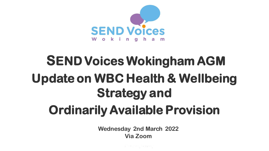

# **SEND Voices Wokingham AGM Update on WBC Health & Wellbeing Strategy and Ordinarily Available Provision**

**Wednesday 2nd March 2022 Via Zoom**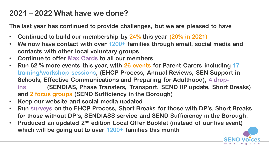#### **2021 – 2022 What have we done?**

**The last year has continued to provide challenges, but we are pleased to have**

- **Continued to build our membership by 24% this year (20% in 2021)**
- **We now have contact with over 1200+ families through email, social media and contacts with other local voluntary groups**
- **Continue to offer Max Cards to all our members**
- **Run 62 % more events this year, with 26 events for Parent Carers including 17 training/workshop sessions, (EHCP Process, Annual Reviews, SEN Support in Schools, Effective Communications and Preparing for Adulthood), 4 drop**
	- **ins (SENDIAS, Phase Transfers, Transport, SEND IIP update, Short Breaks) and 2 focus groups (SEND Sufficiency in the Borough)**
- **Keep our website and social media updated**
- **Run surveys on the EHCP Process, Short Breaks for those with DP's, Short Breaks for those without DP's, SENDIASS service and SEND Sufficiency in the Borough.**
- **Produced an updated 2nd edition Local Offer Booklet (instead of our live event) which will be going out to over 1200+ families this month**

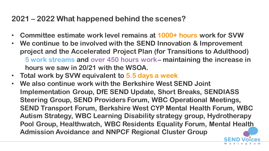#### **2021 – 2022 What happened behind the scenes?**

- **Committee estimate work level remains at 1000+ hours work for SVW**
- **We continue to be involved with the SEND Innovation & Improvement project and the Accelerated Project Plan (for Transitions to Adulthood) 5 work streams and over 450 hours work– maintaining the increase in hours we saw in 20/21 with the WSOA.**
- **Total work by SVW equivalent to 5.5 days a week**
- **We also continue work with the Berkshire West SEND Joint Implementation Group, DfE SEND Update, Short Breaks, SENDIASS Steering Group, SEND Providers Forum, WBC Operational Meetings, SEND Transport Forum, Berkshire West CYP Mental Health Forum, WBC Autism Strategy, WBC Learning Disability strategy group, Hydrotherapy Pool Group, Healthwatch, WBC Residents Equality Forum, Mental Health Admission Avoidance and NNPCF Regional Cluster Group**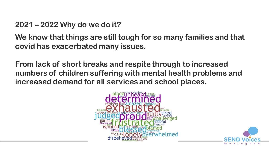#### **2021 – 2022 Why do we do it?**

**We know that things are still tough for so many families and that covid has exacerbated many issues.**

**From lack of short breaks and respite through to increased numbers of children suffering with mental health problems and increased demand for all services and school places.**



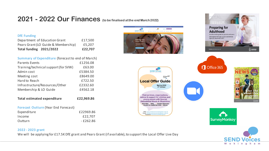#### **2021 - 2022 Our Finances (to be finalised at the end March 2022)**

#### **DfE Funding**

| <b>Total funding 2021/2022</b>      | £22.707 |
|-------------------------------------|---------|
| Pears Grant (LO Guide & Membership) | £5.207  |
| Department of Education Grant       | £17.500 |

| <b>Summary of Expenditure (forecast to end of March)</b> |  |
|----------------------------------------------------------|--|
|----------------------------------------------------------|--|

| <b>Parents Events</b>                | £1256.08 |
|--------------------------------------|----------|
| Training/technical support (for SVW) | £63.00   |
| Admin cost                           | £5384.50 |
| Meeting cost                         | £8649.00 |
| Hard to Reach                        | £722.50  |
| Infrastructure/Resources/Other       | £2332.60 |
| Membership & LO Guide                | £4562.18 |

**Total estimated expenditure £22,969.86**

| <b>Forecast Outturn (Year End Forecast)</b> |           |
|---------------------------------------------|-----------|
| Expenditure                                 | £22969.86 |
| Income                                      | £22.707   |
| Outturn                                     | - £262.86 |









We will be applying for £17.5K DfE grant and Pears Grant (if available), to support the Local Offer Live Day





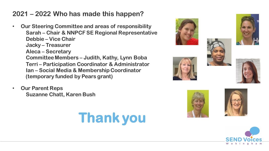#### **2021 – 2022 Who has made this happen?**

- **Our Steering Committee and areas of responsibility Sarah – Chair & NNPCF SE Regional Representative Debbie – Vice Chair Jacky – Treasurer Aleca – Secretary Committee Members – Judith, Kathy, Lynn Boba Terri – Participation Coordinator & Administrator Ian – Social Media & Membership Coordinator (temporary funded by Pears grant)**
- **Our Parent Reps Suzanne Chatt, Karen Bush**

















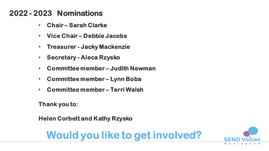#### **2022 - 2023 Nominations**

- **Chair – Sarah Clarke**
- **Vice Chair – Debbie Jacobs**
- **Treasurer - Jacky Mackenzie**
- **Secretary - Aleca Rzysko**
- **Committee member – Judith Newman**
- **Committee member – Lynn Boba**
- **Committee member – Terri Walsh**

**Thank you to:**

**Helen Corbett and Kathy Rzysko**

## **Would you like to get involved?**

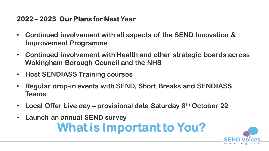#### **2022 – 2023 Our Plans for Next Year**

- **Continued involvement with all aspects of the SEND Innovation & Improvement Programme**
- **Continued involvement with Health and other strategic boards across Wokingham Borough Council and the NHS**
- **Host SENDIASS Training courses**
- **Regular drop-in events with SEND, Short Breaks and SENDIASS Teams**
- **Local Offer Live day – provisional date Saturday 8th October 22**
- **Launch an annual SEND survey What is Important to You?**